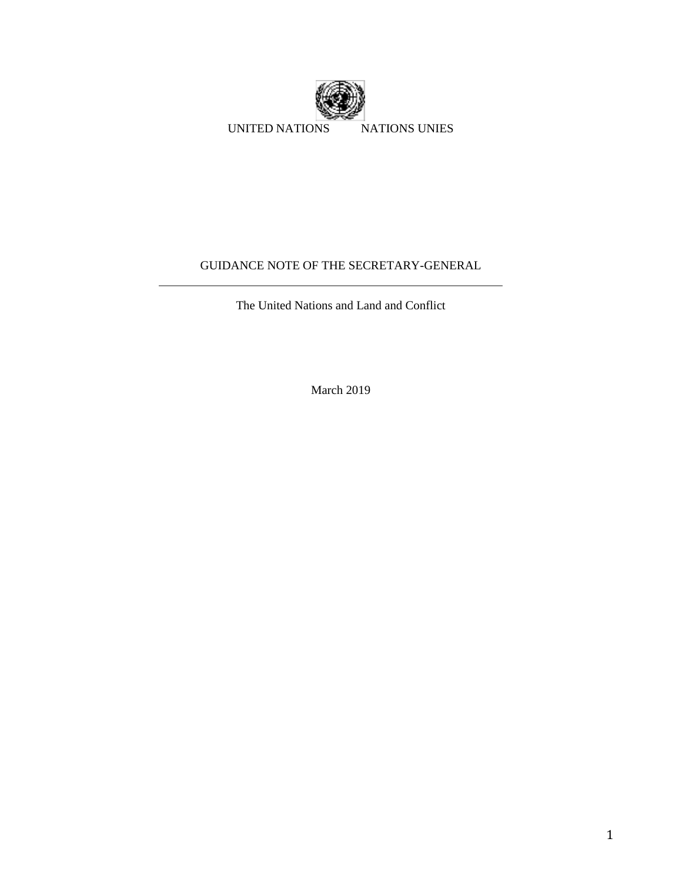

# GUIDANCE NOTE OF THE SECRETARY-GENERAL

The United Nations and Land and Conflict

March 2019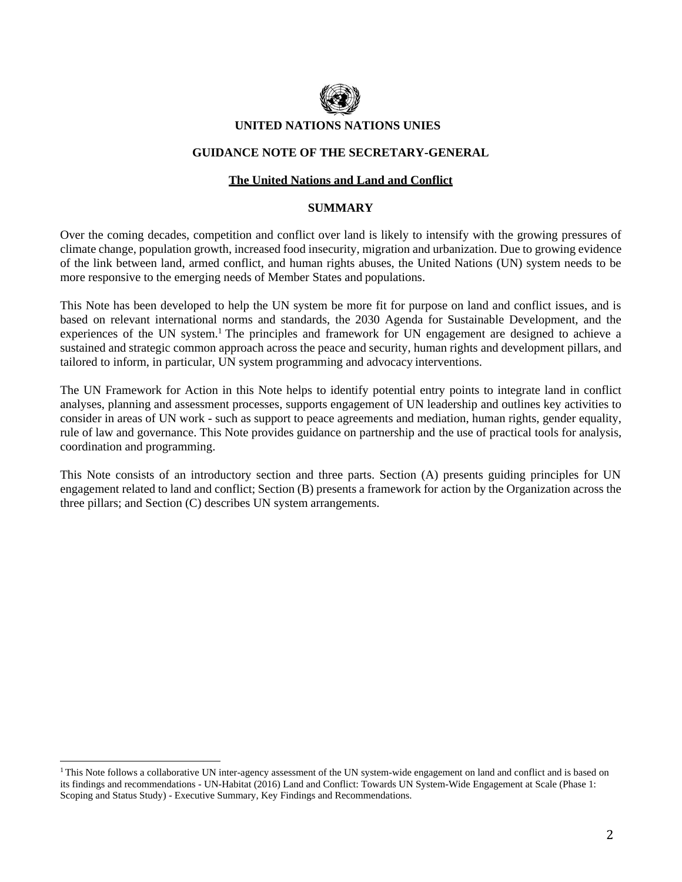

#### **UNITED NATIONS NATIONS UNIES**

#### **GUIDANCE NOTE OF THE SECRETARY-GENERAL**

#### **The United Nations and Land and Conflict**

#### **SUMMARY**

Over the coming decades, competition and conflict over land is likely to intensify with the growing pressures of climate change, population growth, increased food insecurity, migration and urbanization. Due to growing evidence of the link between land, armed conflict, and human rights abuses, the United Nations (UN) system needs to be more responsive to the emerging needs of Member States and populations.

This Note has been developed to help the UN system be more fit for purpose on land and conflict issues, and is based on relevant international norms and standards, the 2030 Agenda for Sustainable Development, and the experiences of the UN system.<sup>1</sup> The principles and framework for UN engagement are designed to achieve a sustained and strategic common approach across the peace and security, human rights and development pillars, and tailored to inform, in particular, UN system programming and advocacy interventions.

The UN Framework for Action in this Note helps to identify potential entry points to integrate land in conflict analyses, planning and assessment processes, supports engagement of UN leadership and outlines key activities to consider in areas of UN work - such as support to peace agreements and mediation, human rights, gender equality, rule of law and governance. This Note provides guidance on partnership and the use of practical tools for analysis, coordination and programming.

This Note consists of an introductory section and three parts. Section (A) presents guiding principles for UN engagement related to land and conflict; Section (B) presents a framework for action by the Organization across the three pillars; and Section (C) describes UN system arrangements.

<sup>&</sup>lt;sup>1</sup>This Note follows a collaborative UN inter-agency assessment of the UN system-wide engagement on land and conflict and is based on its findings and recommendations - UN-Habitat (2016) Land and Conflict: Towards UN System-Wide Engagement at Scale (Phase 1: Scoping and Status Study) - Executive Summary, Key Findings and Recommendations.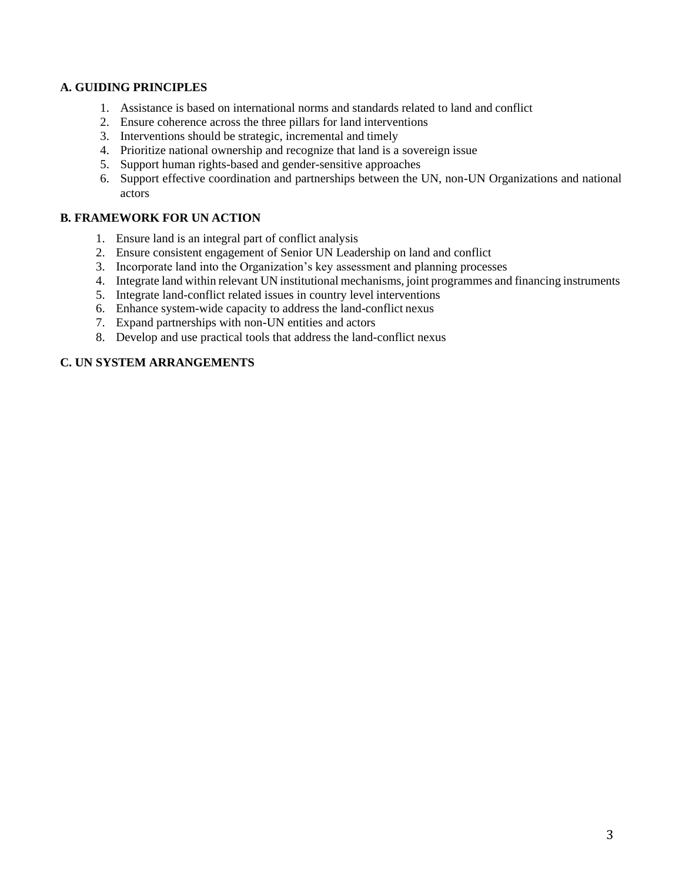#### **A. GUIDING PRINCIPLES**

- 1. Assistance is based on international norms and standards related to land and conflict
- 2. Ensure coherence across the three pillars for land interventions
- 3. Interventions should be strategic, incremental and timely
- 4. Prioritize national ownership and recognize that land is a sovereign issue
- 5. Support human rights-based and gender-sensitive approaches
- 6. Support effective coordination and partnerships between the UN, non-UN Organizations and national actors

### **B. FRAMEWORK FOR UN ACTION**

- 1. Ensure land is an integral part of conflict analysis
- 2. Ensure consistent engagement of Senior UN Leadership on land and conflict
- 3. Incorporate land into the Organization's key assessment and planning processes
- 4. Integrate land within relevant UN institutional mechanisms, joint programmes and financing instruments
- 5. Integrate land-conflict related issues in country level interventions
- 6. Enhance system-wide capacity to address the land-conflict nexus
- 7. Expand partnerships with non-UN entities and actors
- 8. Develop and use practical tools that address the land-conflict nexus

### **C. UN SYSTEM ARRANGEMENTS**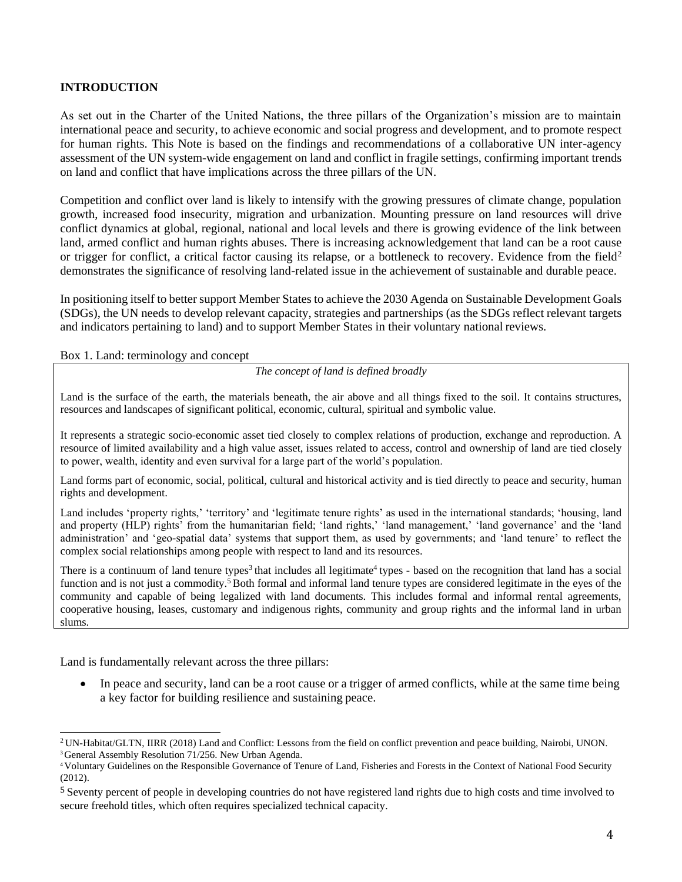#### **INTRODUCTION**

As set out in the Charter of the United Nations, the three pillars of the Organization's mission are to maintain international peace and security, to achieve economic and social progress and development, and to promote respect for human rights. This Note is based on the findings and recommendations of a collaborative UN inter-agency assessment of the UN system-wide engagement on land and conflict in fragile settings, confirming important trends on land and conflict that have implications across the three pillars of the UN.

Competition and conflict over land is likely to intensify with the growing pressures of climate change, population growth, increased food insecurity, migration and urbanization. Mounting pressure on land resources will drive conflict dynamics at global, regional, national and local levels and there is growing evidence of the link between land, armed conflict and human rights abuses. There is increasing acknowledgement that land can be a root cause or trigger for conflict, a critical factor causing its relapse, or a bottleneck to recovery. Evidence from the field<sup>2</sup> demonstrates the significance of resolving land-related issue in the achievement of sustainable and durable peace.

In positioning itself to better support Member States to achieve the 2030 Agenda on Sustainable Development Goals (SDGs), the UN needs to develop relevant capacity, strategies and partnerships (as the SDGs reflect relevant targets and indicators pertaining to land) and to support Member States in their voluntary national reviews.

Box 1. Land: terminology and concept

*The concept of land is defined broadly*

Land is the surface of the earth, the materials beneath, the air above and all things fixed to the soil. It contains structures, resources and landscapes of significant political, economic, cultural, spiritual and symbolic value.

It represents a strategic socio-economic asset tied closely to complex relations of production, exchange and reproduction. A resource of limited availability and a high value asset, issues related to access, control and ownership of land are tied closely to power, wealth, identity and even survival for a large part of the world's population.

Land forms part of economic, social, political, cultural and historical activity and is tied directly to peace and security, human rights and development.

Land includes 'property rights,' 'territory' and 'legitimate tenure rights' as used in the international standards; 'housing, land and property (HLP) rights' from the humanitarian field; 'land rights,' 'land management,' 'land governance' and the 'land administration' and 'geo-spatial data' systems that support them, as used by governments; and 'land tenure' to reflect the complex social relationships among people with respect to land and its resources.

There is a continuum of land tenure types<sup>3</sup> that includes all legitimate<sup>4</sup> types - based on the recognition that land has a social function and is not just a commodity.<sup>5</sup> Both formal and informal land tenure types are considered legitimate in the eyes of the community and capable of being legalized with land documents. This includes formal and informal rental agreements, cooperative housing, leases, customary and indigenous rights, community and group rights and the informal land in urban slums.

Land is fundamentally relevant across the three pillars:

• In peace and security, land can be a root cause or a trigger of armed conflicts, while at the same time being a key factor for building resilience and sustaining peace.

<sup>2</sup>UN-Habitat/GLTN, IIRR (2018) Land and Conflict: Lessons from the field on conflict prevention and peace building, Nairobi, UNON.

<sup>&</sup>lt;sup>3</sup> General Assembly Resolution 71/256. New Urban Agenda.

<sup>4</sup>Voluntary Guidelines on the Responsible Governance of Tenure of Land, Fisheries and Forests in the Context of National Food Security (2012).

<sup>&</sup>lt;sup>5</sup> Seventy percent of people in developing countries do not have registered land rights due to high costs and time involved to secure freehold titles, which often requires specialized technical capacity.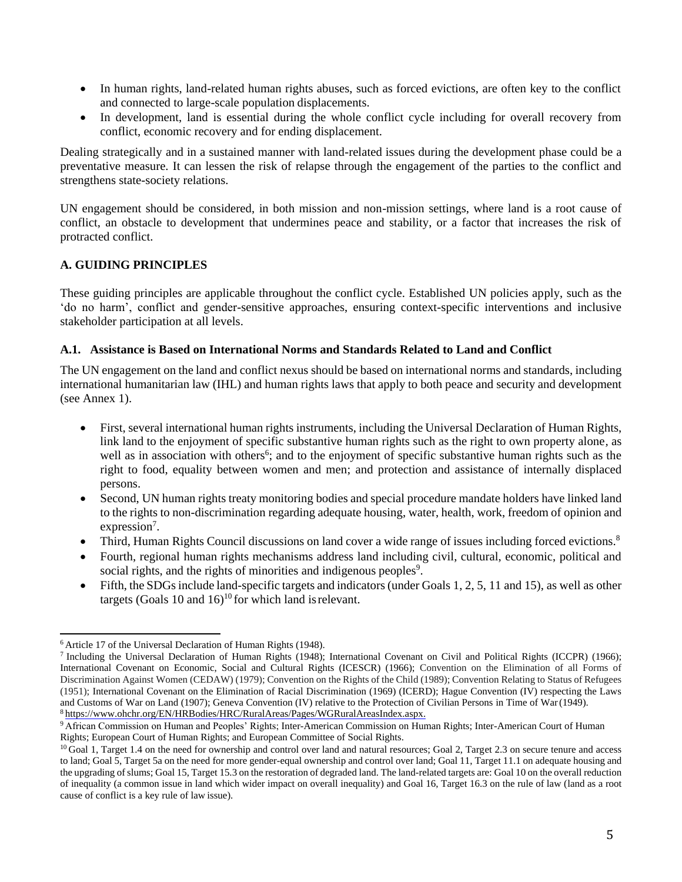- In human rights, land-related human rights abuses, such as forced evictions, are often key to the conflict and connected to large-scale population displacements.
- In development, land is essential during the whole conflict cycle including for overall recovery from conflict, economic recovery and for ending displacement.

Dealing strategically and in a sustained manner with land-related issues during the development phase could be a preventative measure. It can lessen the risk of relapse through the engagement of the parties to the conflict and strengthens state-society relations.

UN engagement should be considered, in both mission and non-mission settings, where land is a root cause of conflict, an obstacle to development that undermines peace and stability, or a factor that increases the risk of protracted conflict.

### **A. GUIDING PRINCIPLES**

These guiding principles are applicable throughout the conflict cycle. Established UN policies apply, such as the 'do no harm', conflict and gender-sensitive approaches, ensuring context-specific interventions and inclusive stakeholder participation at all levels.

### **A.1. Assistance is Based on International Norms and Standards Related to Land and Conflict**

The UN engagement on the land and conflict nexus should be based on international norms and standards, including international humanitarian law (IHL) and human rights laws that apply to both peace and security and development (see Annex 1).

- First, several international human rights instruments, including the Universal Declaration of Human Rights, link land to the enjoyment of specific substantive human rights such as the right to own property alone*,* as well as in association with others<sup>6</sup>; and to the enjoyment of specific substantive human rights such as the right to food, equality between women and men; and protection and assistance of internally displaced persons.
- Second, UN human rights treaty monitoring bodies and special procedure mandate holders have linked land to the rights to non-discrimination regarding adequate housing, water, health, work, freedom of opinion and expression<sup>7</sup>.
- Third, Human Rights Council discussions on land cover a wide range of issues including forced evictions.<sup>8</sup>
- Fourth, regional human rights mechanisms address land including civil, cultural, economic, political and social rights, and the rights of minorities and indigenous peoples $9$ .
- Fifth, the SDGs include land-specific targets and indicators (under Goals 1, 2, 5, 11 and 15), as well as other targets (Goals 10 and  $16$ )<sup>10</sup> for which land is relevant.

<sup>&</sup>lt;sup>6</sup> Article 17 of the Universal Declaration of Human Rights (1948).

<sup>7</sup>Including the Universal Declaration of Human Rights (1948); International Covenant on Civil and Political Rights (ICCPR) (1966); International Covenant on Economic, Social and Cultural Rights (ICESCR) (1966); Convention on the Elimination of all Forms of Discrimination Against Women (CEDAW) (1979); Convention on the Rights of the Child (1989); Convention Relating to Status of Refugees (1951); International Covenant on the Elimination of Racial Discrimination (1969) (ICERD); Hague Convention (IV) respecting the Laws and Customs of War on Land (1907); Geneva Convention (IV) relative to the Protection of Civilian Persons in Time of War(1949). <sup>8</sup>[https://www.ohchr.org/EN/HRBodies/HRC/RuralAreas/Pages/WGRuralAreasIndex.aspx.](https://www.ohchr.org/EN/HRBodies/HRC/RuralAreas/Pages/WGRuralAreasIndex.aspx)

<sup>9</sup>African Commission on Human and Peoples' Rights; Inter-American Commission on Human Rights; Inter-American Court of Human Rights; European Court of Human Rights; and European Committee of Social Rights.

<sup>&</sup>lt;sup>10</sup>Goal 1, Target 1.4 on the need for ownership and control over land and natural resources; Goal 2, Target 2.3 on secure tenure and access to land; Goal 5, Target 5a on the need for more gender-equal ownership and control over land; Goal 11, Target 11.1 on adequate housing and the upgrading ofslums; Goal 15, Target 15.3 on the restoration of degraded land. The land-related targets are: Goal 10 on the overall reduction of inequality (a common issue in land which wider impact on overall inequality) and Goal 16, Target 16.3 on the rule of law (land as a root cause of conflict is a key rule of law issue).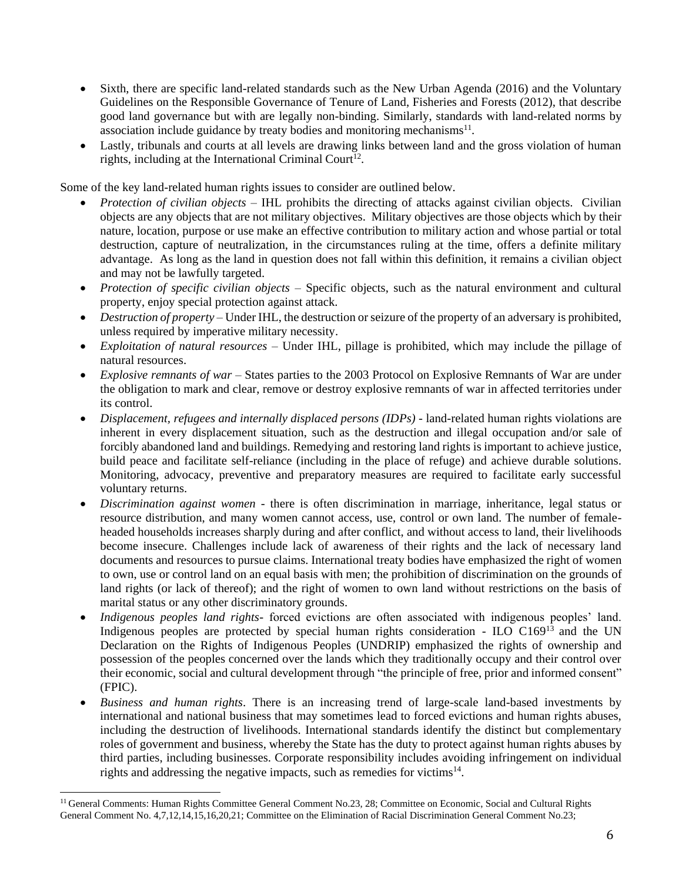- Sixth, there are specific land-related standards such as the New Urban Agenda (2016) and the Voluntary Guidelines on the Responsible Governance of Tenure of Land, Fisheries and Forests (2012), that describe good land governance but with are legally non-binding. Similarly, standards with land-related norms by association include guidance by treaty bodies and monitoring mechanisms $^{11}$ .
- Lastly, tribunals and courts at all levels are drawing links between land and the gross violation of human rights, including at the International Criminal Court<sup>12</sup>.

Some of the key land-related human rights issues to consider are outlined below.

- *Protection of civilian objects* IHL prohibits the directing of attacks against civilian objects. Civilian objects are any objects that are not military objectives. Military objectives are those objects which by their nature, location, purpose or use make an effective contribution to military action and whose partial or total destruction, capture of neutralization, in the circumstances ruling at the time, offers a definite military advantage. As long as the land in question does not fall within this definition, it remains a civilian object and may not be lawfully targeted.
- *Protection of specific civilian objects* Specific objects, such as the natural environment and cultural property, enjoy special protection against attack.
- *Destruction of property* Under IHL, the destruction or seizure of the property of an adversary is prohibited, unless required by imperative military necessity.
- *Exploitation of natural resources –* Under IHL, pillage is prohibited, which may include the pillage of natural resources.
- *Explosive remnants of war –* States parties to the 2003 Protocol on Explosive Remnants of War are under the obligation to mark and clear, remove or destroy explosive remnants of war in affected territories under its control.
- *Displacement, refugees and internally displaced persons (IDPs) -* land-related human rights violations are inherent in every displacement situation, such as the destruction and illegal occupation and/or sale of forcibly abandoned land and buildings. Remedying and restoring land rights is important to achieve justice, build peace and facilitate self-reliance (including in the place of refuge) and achieve durable solutions. Monitoring, advocacy, preventive and preparatory measures are required to facilitate early successful voluntary returns.
- *Discrimination against women -* there is often discrimination in marriage, inheritance, legal status or resource distribution, and many women cannot access, use, control or own land. The number of femaleheaded households increases sharply during and after conflict, and without access to land, their livelihoods become insecure. Challenges include lack of awareness of their rights and the lack of necessary land documents and resources to pursue claims. International treaty bodies have emphasized the right of women to own, use or control land on an equal basis with men; the prohibition of discrimination on the grounds of land rights (or lack of thereof); and the right of women to own land without restrictions on the basis of marital status or any other discriminatory grounds.
- *Indigenous peoples land rights-* forced evictions are often associated with indigenous peoples' land. Indigenous peoples are protected by special human rights consideration - ILO  $C169^{13}$  and the UN Declaration on the Rights of Indigenous Peoples (UNDRIP) emphasized the rights of ownership and possession of the peoples concerned over the lands which they traditionally occupy and their control over their economic, social and cultural development through "the principle of free, prior and informed consent" (FPIC).
- *Business and human rights*. There is an increasing trend of large-scale land-based investments by international and national business that may sometimes lead to forced evictions and human rights abuses, including the destruction of livelihoods. International standards identify the distinct but complementary roles of government and business, whereby the State has the duty to protect against human rights abuses by third parties, including businesses. Corporate responsibility includes avoiding infringement on individual rights and addressing the negative impacts, such as remedies for victims $14$ .

<sup>&</sup>lt;sup>11</sup> General Comments: Human Rights Committee General Comment No.23, 28; Committee on Economic, Social and Cultural Rights General Comment No. 4,7,12,14,15,16,20,21; Committee on the Elimination of Racial Discrimination General Comment No.23;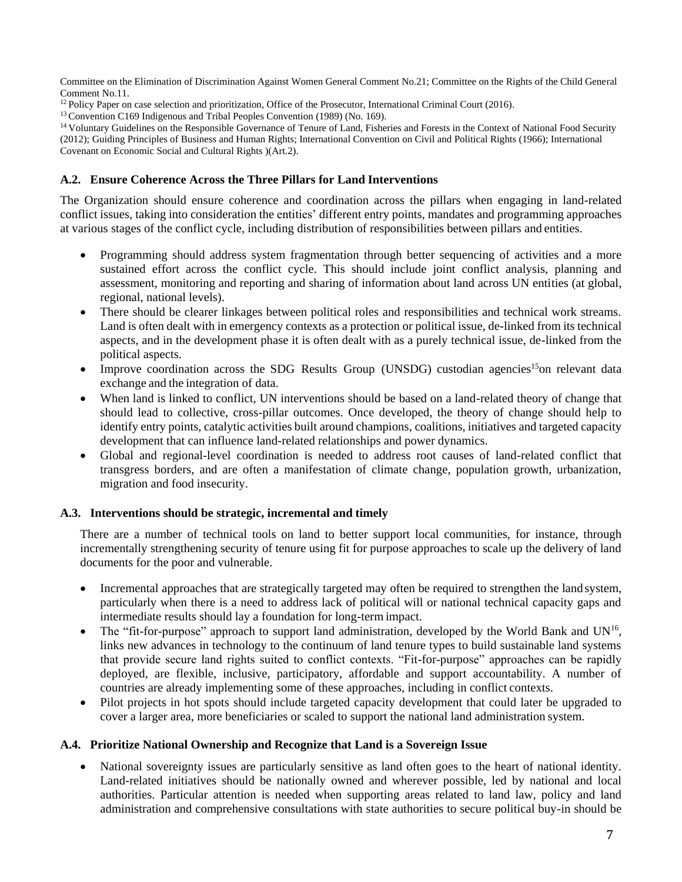Committee on the Elimination of Discrimination Against Women General Comment No.21; Committee on the Rights of the Child General Comment No.11.

<sup>12</sup> Policy Paper on case selection and prioritization, Office of the Prosecutor, International Criminal Court (2016).

<sup>13</sup> Convention C169 Indigenous and Tribal Peoples Convention (1989) (No. 169).

<sup>14</sup> Voluntary Guidelines on the Responsible Governance of Tenure of Land, Fisheries and Forests in the Context of National Food Security (2012); Guiding Principles of Business and Human Rights; International Convention on Civil and Political Rights (1966); International Covenant on Economic Social and Cultural Rights )(Art.2).

#### **A.2. Ensure Coherence Across the Three Pillars for Land Interventions**

The Organization should ensure coherence and coordination across the pillars when engaging in land-related conflict issues, taking into consideration the entities' different entry points, mandates and programming approaches at various stages of the conflict cycle, including distribution of responsibilities between pillars and entities.

- Programming should address system fragmentation through better sequencing of activities and a more sustained effort across the conflict cycle. This should include joint conflict analysis, planning and assessment, monitoring and reporting and sharing of information about land across UN entities (at global, regional, national levels).
- There should be clearer linkages between political roles and responsibilities and technical work streams. Land is often dealt with in emergency contexts as a protection or political issue, de-linked from its technical aspects, and in the development phase it is often dealt with as a purely technical issue, de-linked from the political aspects.
- Improve coordination across the SDG Results Group (UNSDG) custodian agencies<sup>15</sup>on relevant data exchange and the integration of data.
- When land is linked to conflict, UN interventions should be based on a land-related theory of change that should lead to collective, cross-pillar outcomes. Once developed, the theory of change should help to identify entry points, catalytic activities built around champions, coalitions, initiatives and targeted capacity development that can influence land-related relationships and power dynamics.
- Global and regional-level coordination is needed to address root causes of land-related conflict that transgress borders, and are often a manifestation of climate change, population growth, urbanization, migration and food insecurity.

#### **A.3. Interventions should be strategic, incremental and timely**

There are a number of technical tools on land to better support local communities, for instance, through incrementally strengthening security of tenure using fit for purpose approaches to scale up the delivery of land documents for the poor and vulnerable.

- Incremental approaches that are strategically targeted may often be required to strengthen the land system, particularly when there is a need to address lack of political will or national technical capacity gaps and intermediate results should lay a foundation for long-term impact.
- The "fit-for-purpose" approach to support land administration, developed by the World Bank and UN<sup>16</sup>, links new advances in technology to the continuum of land tenure types to build sustainable land systems that provide secure land rights suited to conflict contexts. "Fit-for-purpose" approaches can be rapidly deployed, are flexible, inclusive, participatory, affordable and support accountability. A number of countries are already implementing some of these approaches, including in conflict contexts.
- Pilot projects in hot spots should include targeted capacity development that could later be upgraded to cover a larger area, more beneficiaries or scaled to support the national land administration system.

#### **A.4. Prioritize National Ownership and Recognize that Land is a Sovereign Issue**

• National sovereignty issues are particularly sensitive as land often goes to the heart of national identity. Land-related initiatives should be nationally owned and wherever possible, led by national and local authorities. Particular attention is needed when supporting areas related to land law, policy and land administration and comprehensive consultations with state authorities to secure political buy-in should be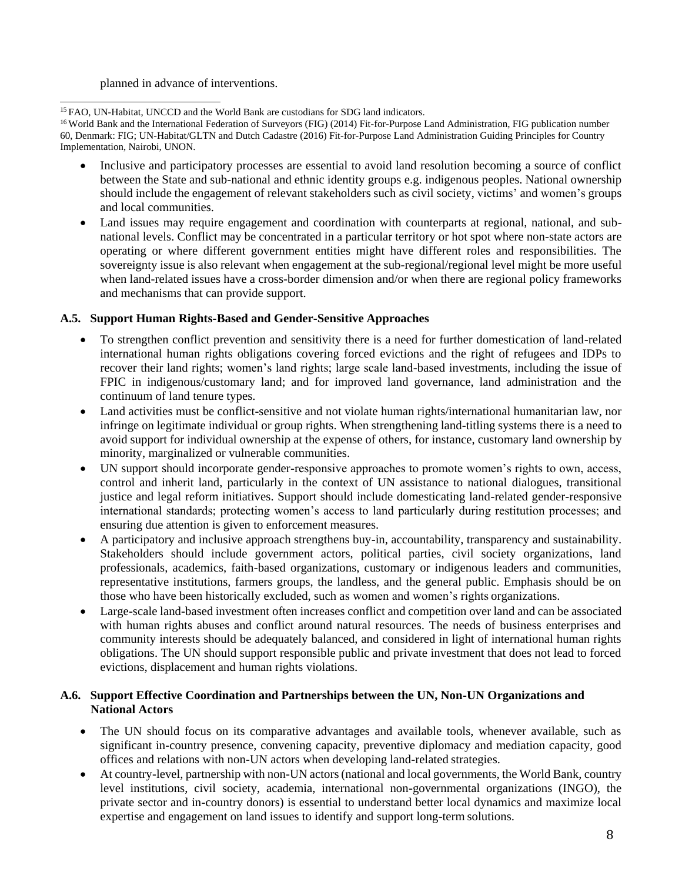planned in advance of interventions.

<sup>15</sup> FAO, UN-Habitat, UNCCD and the World Bank are custodians for SDG land indicators.

<sup>16</sup> World Bank and the International Federation of Surveyors (FIG) (2014) Fit-for-Purpose Land Administration, FIG publication number 60, Denmark: FIG; UN-Habitat/GLTN and Dutch Cadastre (2016) Fit-for-Purpose Land Administration Guiding Principles for Country Implementation, Nairobi, UNON.

- Inclusive and participatory processes are essential to avoid land resolution becoming a source of conflict between the State and sub-national and ethnic identity groups e.g. indigenous peoples. National ownership should include the engagement of relevant stakeholders such as civil society, victims' and women's groups and local communities.
- Land issues may require engagement and coordination with counterparts at regional, national, and subnational levels. Conflict may be concentrated in a particular territory or hot spot where non-state actors are operating or where different government entities might have different roles and responsibilities. The sovereignty issue is also relevant when engagement at the sub-regional/regional level might be more useful when land-related issues have a cross-border dimension and/or when there are regional policy frameworks and mechanisms that can provide support.

### **A.5. Support Human Rights-Based and Gender-Sensitive Approaches**

- To strengthen conflict prevention and sensitivity there is a need for further domestication of land-related international human rights obligations covering forced evictions and the right of refugees and IDPs to recover their land rights; women's land rights; large scale land-based investments, including the issue of FPIC in indigenous/customary land; and for improved land governance, land administration and the continuum of land tenure types.
- Land activities must be conflict-sensitive and not violate human rights/international humanitarian law, nor infringe on legitimate individual or group rights. When strengthening land-titling systems there is a need to avoid support for individual ownership at the expense of others, for instance, customary land ownership by minority, marginalized or vulnerable communities.
- UN support should incorporate gender-responsive approaches to promote women's rights to own, access, control and inherit land, particularly in the context of UN assistance to national dialogues, transitional justice and legal reform initiatives. Support should include domesticating land-related gender-responsive international standards; protecting women's access to land particularly during restitution processes; and ensuring due attention is given to enforcement measures.
- A participatory and inclusive approach strengthens buy-in, accountability, transparency and sustainability. Stakeholders should include government actors, political parties, civil society organizations, land professionals, academics, faith-based organizations, customary or indigenous leaders and communities, representative institutions, farmers groups, the landless, and the general public. Emphasis should be on those who have been historically excluded, such as women and women's rights organizations.
- Large-scale land-based investment often increases conflict and competition over land and can be associated with human rights abuses and conflict around natural resources. The needs of business enterprises and community interests should be adequately balanced, and considered in light of international human rights obligations. The UN should support responsible public and private investment that does not lead to forced evictions, displacement and human rights violations.

## **A.6. Support Effective Coordination and Partnerships between the UN, Non-UN Organizations and National Actors**

- The UN should focus on its comparative advantages and available tools, whenever available, such as significant in-country presence, convening capacity, preventive diplomacy and mediation capacity, good offices and relations with non-UN actors when developing land-related strategies.
- At country-level, partnership with non-UN actors(national and local governments, the World Bank, country level institutions, civil society, academia, international non-governmental organizations (INGO), the private sector and in-country donors) is essential to understand better local dynamics and maximize local expertise and engagement on land issues to identify and support long-term solutions.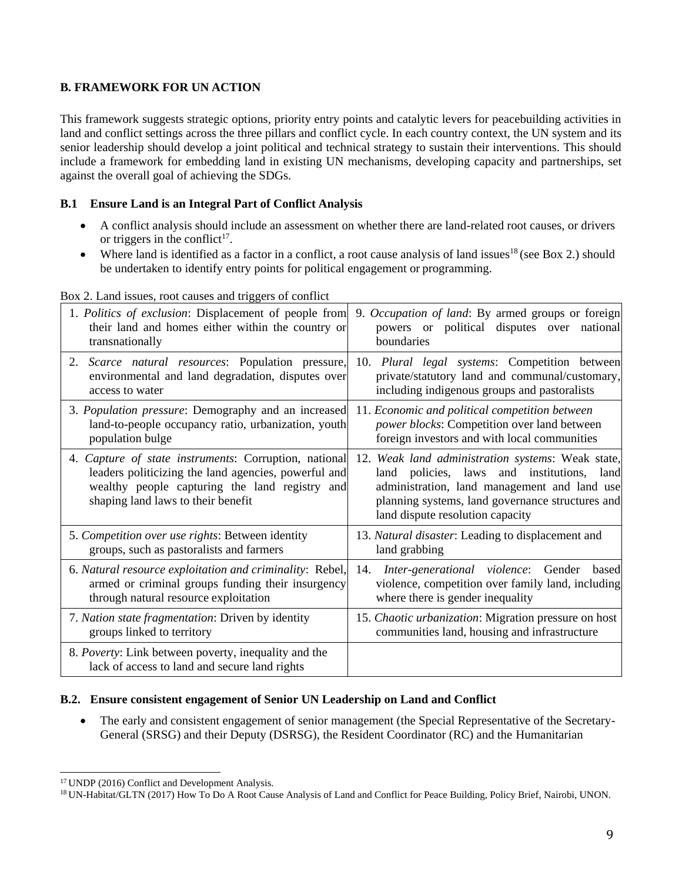### **B. FRAMEWORK FOR UN ACTION**

This framework suggests strategic options, priority entry points and catalytic levers for peacebuilding activities in land and conflict settings across the three pillars and conflict cycle. In each country context, the UN system and its senior leadership should develop a joint political and technical strategy to sustain their interventions. This should include a framework for embedding land in existing UN mechanisms, developing capacity and partnerships, set against the overall goal of achieving the SDGs.

#### **B.1 Ensure Land is an Integral Part of Conflict Analysis**

- A conflict analysis should include an assessment on whether there are land-related root causes, or drivers or triggers in the conflict<sup>17</sup>.
- Where land is identified as a factor in a conflict, a root cause analysis of land issues<sup>18</sup> (see Box 2.) should be undertaken to identify entry points for political engagement or programming.

| 1. Politics of exclusion: Displacement of people from                                                                                                                                                 | 9. Occupation of land: By armed groups or foreign                                                                                                                                                                                             |
|-------------------------------------------------------------------------------------------------------------------------------------------------------------------------------------------------------|-----------------------------------------------------------------------------------------------------------------------------------------------------------------------------------------------------------------------------------------------|
| their land and homes either within the country or                                                                                                                                                     | powers or political disputes over national                                                                                                                                                                                                    |
| transnationally                                                                                                                                                                                       | boundaries                                                                                                                                                                                                                                    |
| 2. Scarce natural resources: Population pressure,                                                                                                                                                     | 10. Plural legal systems: Competition between                                                                                                                                                                                                 |
| environmental and land degradation, disputes over                                                                                                                                                     | private/statutory land and communal/customary,                                                                                                                                                                                                |
| access to water                                                                                                                                                                                       | including indigenous groups and pastoralists                                                                                                                                                                                                  |
| 3. Population pressure: Demography and an increased                                                                                                                                                   | 11. Economic and political competition between                                                                                                                                                                                                |
| land-to-people occupancy ratio, urbanization, youth                                                                                                                                                   | power blocks: Competition over land between                                                                                                                                                                                                   |
| population bulge                                                                                                                                                                                      | foreign investors and with local communities                                                                                                                                                                                                  |
| 4. Capture of state instruments: Corruption, national<br>leaders politicizing the land agencies, powerful and<br>wealthy people capturing the land registry and<br>shaping land laws to their benefit | 12. Weak land administration systems: Weak state,<br>land policies, laws<br>and institutions,<br>land<br>administration, land management and land use<br>planning systems, land governance structures and<br>land dispute resolution capacity |
| 5. Competition over use rights: Between identity                                                                                                                                                      | 13. Natural disaster: Leading to displacement and                                                                                                                                                                                             |
| groups, such as pastoralists and farmers                                                                                                                                                              | land grabbing                                                                                                                                                                                                                                 |
| 6. Natural resource exploitation and criminality: Rebel,<br>armed or criminal groups funding their insurgency<br>through natural resource exploitation                                                | Inter-generational violence: Gender<br>14.<br>based<br>violence, competition over family land, including<br>where there is gender inequality                                                                                                  |
| 7. Nation state fragmentation: Driven by identity                                                                                                                                                     | 15. Chaotic urbanization: Migration pressure on host                                                                                                                                                                                          |
| groups linked to territory                                                                                                                                                                            | communities land, housing and infrastructure                                                                                                                                                                                                  |
| 8. Poverty: Link between poverty, inequality and the<br>lack of access to land and secure land rights                                                                                                 |                                                                                                                                                                                                                                               |

Box 2. Land issues, root causes and triggers of conflict

#### **B.2. Ensure consistent engagement of Senior UN Leadership on Land and Conflict**

• The early and consistent engagement of senior management (the Special Representative of the Secretary-General (SRSG) and their Deputy (DSRSG), the Resident Coordinator (RC) and the Humanitarian

<sup>&</sup>lt;sup>17</sup> UNDP (2016) Conflict and Development Analysis.

<sup>18</sup> UN-Habitat/GLTN (2017) How To Do A Root Cause Analysis of Land and Conflict for Peace Building, Policy Brief, Nairobi, UNON.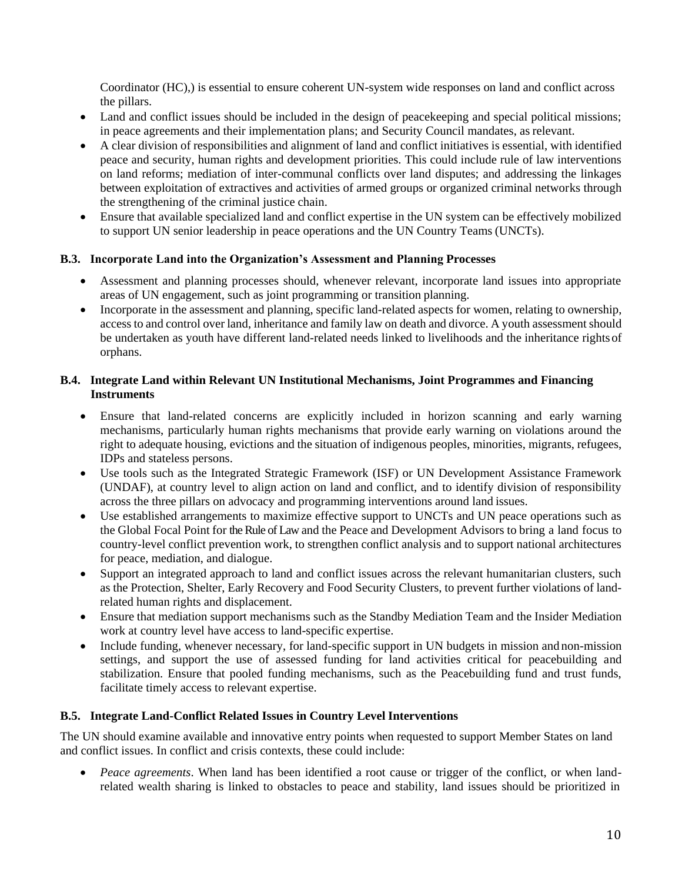Coordinator (HC),) is essential to ensure coherent UN-system wide responses on land and conflict across the pillars.

- Land and conflict issues should be included in the design of peacekeeping and special political missions; in peace agreements and their implementation plans; and Security Council mandates, asrelevant.
- A clear division of responsibilities and alignment of land and conflict initiatives is essential, with identified peace and security, human rights and development priorities. This could include rule of law interventions on land reforms; mediation of inter-communal conflicts over land disputes; and addressing the linkages between exploitation of extractives and activities of armed groups or organized criminal networks through the strengthening of the criminal justice chain.
- Ensure that available specialized land and conflict expertise in the UN system can be effectively mobilized to support UN senior leadership in peace operations and the UN Country Teams (UNCTs).

### **B.3. Incorporate Land into the Organization's Assessment and Planning Processes**

- Assessment and planning processes should, whenever relevant, incorporate land issues into appropriate areas of UN engagement, such as joint programming or transition planning.
- Incorporate in the assessment and planning, specific land-related aspects for women, relating to ownership, access to and control over land, inheritance and family law on death and divorce. A youth assessment should be undertaken as youth have different land-related needs linked to livelihoods and the inheritance rightsof orphans.

### **B.4. Integrate Land within Relevant UN Institutional Mechanisms, Joint Programmes and Financing Instruments**

- Ensure that land-related concerns are explicitly included in horizon scanning and early warning mechanisms, particularly human rights mechanisms that provide early warning on violations around the right to adequate housing, evictions and the situation of indigenous peoples, minorities, migrants, refugees, IDPs and stateless persons.
- Use tools such as the Integrated Strategic Framework (ISF) or UN Development Assistance Framework (UNDAF), at country level to align action on land and conflict, and to identify division of responsibility across the three pillars on advocacy and programming interventions around land issues.
- Use established arrangements to maximize effective support to UNCTs and UN peace operations such as the Global Focal Point for the Rule of Law and the Peace and Development Advisors to bring a land focus to country-level conflict prevention work, to strengthen conflict analysis and to support national architectures for peace, mediation, and dialogue.
- Support an integrated approach to land and conflict issues across the relevant humanitarian clusters, such as the Protection, Shelter, Early Recovery and Food Security Clusters, to prevent further violations of landrelated human rights and displacement.
- Ensure that mediation support mechanisms such as the Standby Mediation Team and the Insider Mediation work at country level have access to land-specific expertise.
- Include funding, whenever necessary, for land-specific support in UN budgets in mission and non-mission settings, and support the use of assessed funding for land activities critical for peacebuilding and stabilization. Ensure that pooled funding mechanisms, such as the Peacebuilding fund and trust funds, facilitate timely access to relevant expertise.

### **B.5. Integrate Land-Conflict Related Issues in Country Level Interventions**

The UN should examine available and innovative entry points when requested to support Member States on land and conflict issues. In conflict and crisis contexts, these could include:

• *Peace agreements*. When land has been identified a root cause or trigger of the conflict, or when landrelated wealth sharing is linked to obstacles to peace and stability, land issues should be prioritized in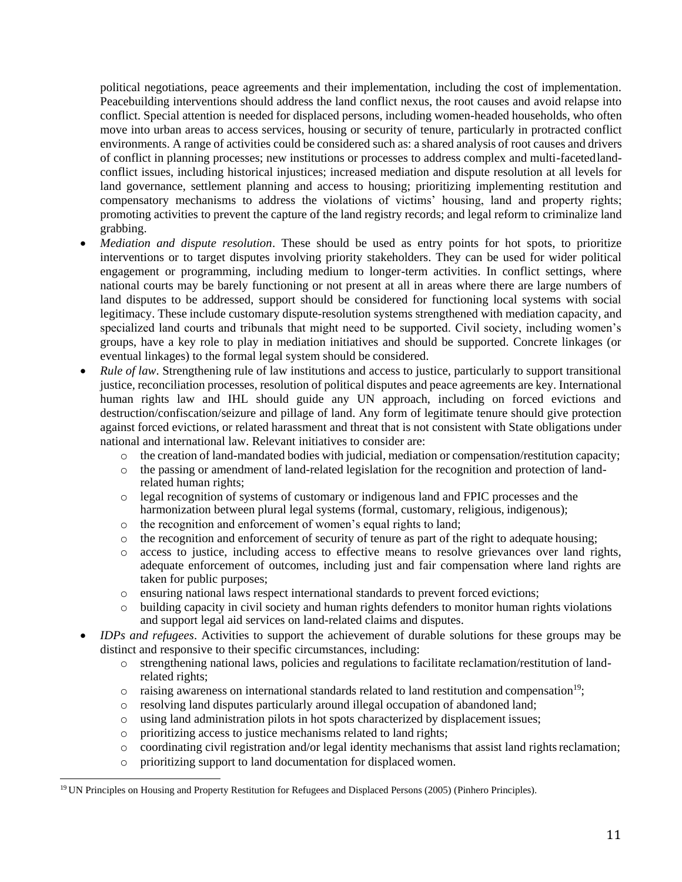political negotiations, peace agreements and their implementation, including the cost of implementation. Peacebuilding interventions should address the land conflict nexus, the root causes and avoid relapse into conflict. Special attention is needed for displaced persons, including women-headed households, who often move into urban areas to access services, housing or security of tenure, particularly in protracted conflict environments. A range of activities could be considered such as: a shared analysis of root causes and drivers of conflict in planning processes; new institutions or processes to address complex and multi-facetedlandconflict issues, including historical injustices; increased mediation and dispute resolution at all levels for land governance, settlement planning and access to housing; prioritizing implementing restitution and compensatory mechanisms to address the violations of victims' housing, land and property rights; promoting activities to prevent the capture of the land registry records; and legal reform to criminalize land grabbing.

- *Mediation and dispute resolution*. These should be used as entry points for hot spots, to prioritize interventions or to target disputes involving priority stakeholders. They can be used for wider political engagement or programming, including medium to longer-term activities. In conflict settings, where national courts may be barely functioning or not present at all in areas where there are large numbers of land disputes to be addressed, support should be considered for functioning local systems with social legitimacy. These include customary dispute-resolution systems strengthened with mediation capacity, and specialized land courts and tribunals that might need to be supported. Civil society, including women's groups, have a key role to play in mediation initiatives and should be supported. Concrete linkages (or eventual linkages) to the formal legal system should be considered.
- *Rule of law*. Strengthening rule of law institutions and access to justice, particularly to support transitional justice, reconciliation processes, resolution of political disputes and peace agreements are key. International human rights law and IHL should guide any UN approach, including on forced evictions and destruction/confiscation/seizure and pillage of land. Any form of legitimate tenure should give protection against forced evictions, or related harassment and threat that is not consistent with State obligations under national and international law. Relevant initiatives to consider are:
	- o the creation of land-mandated bodies with judicial, mediation or compensation/restitution capacity;
	- o the passing or amendment of land-related legislation for the recognition and protection of landrelated human rights;
	- o legal recognition of systems of customary or indigenous land and FPIC processes and the harmonization between plural legal systems (formal, customary, religious, indigenous);
	- o the recognition and enforcement of women's equal rights to land;
	- o the recognition and enforcement of security of tenure as part of the right to adequate housing;
	- o access to justice, including access to effective means to resolve grievances over land rights, adequate enforcement of outcomes, including just and fair compensation where land rights are taken for public purposes;
	- o ensuring national laws respect international standards to prevent forced evictions;
	- o building capacity in civil society and human rights defenders to monitor human rights violations and support legal aid services on land-related claims and disputes.
- *IDPs and refugees*. Activities to support the achievement of durable solutions for these groups may be distinct and responsive to their specific circumstances, including:
	- o strengthening national laws, policies and regulations to facilitate reclamation/restitution of landrelated rights;
	- $\circ$  raising awareness on international standards related to land restitution and compensation<sup>19</sup>;
	- o resolving land disputes particularly around illegal occupation of abandoned land;
	- o using land administration pilots in hot spots characterized by displacement issues;
	- o prioritizing access to justice mechanisms related to land rights;
	- o coordinating civil registration and/or legal identity mechanisms that assist land rightsreclamation;
	- o prioritizing support to land documentation for displaced women.

<sup>19</sup> UN Principles on Housing and Property Restitution for Refugees and Displaced Persons (2005) (Pinhero Principles).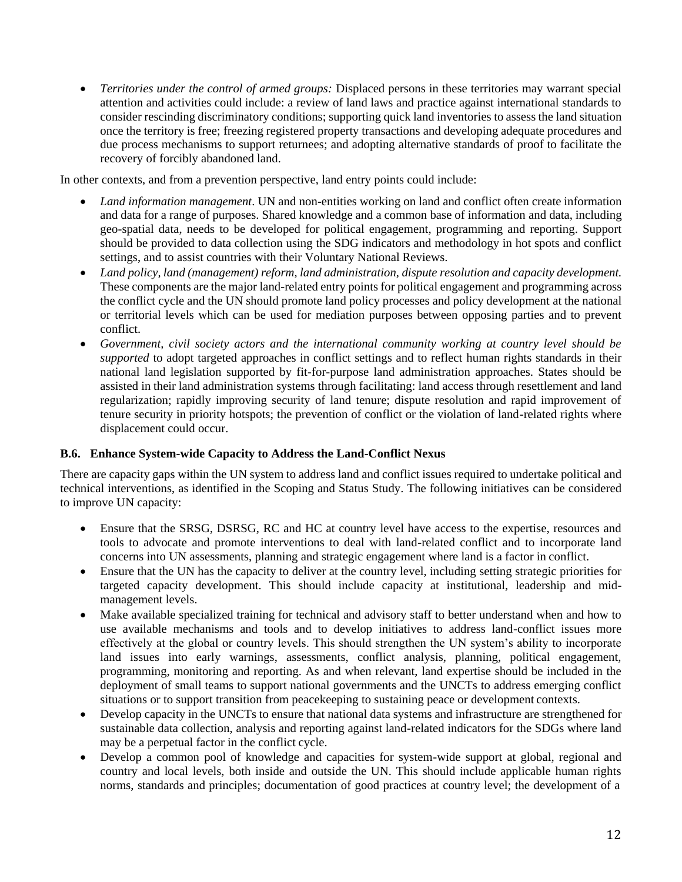• *Territories under the control of armed groups:* Displaced persons in these territories may warrant special attention and activities could include: a review of land laws and practice against international standards to consider rescinding discriminatory conditions; supporting quick land inventories to assess the land situation once the territory is free; freezing registered property transactions and developing adequate procedures and due process mechanisms to support returnees; and adopting alternative standards of proof to facilitate the recovery of forcibly abandoned land.

In other contexts, and from a prevention perspective, land entry points could include:

- *Land information management*. UN and non-entities working on land and conflict often create information and data for a range of purposes. Shared knowledge and a common base of information and data, including geo-spatial data, needs to be developed for political engagement, programming and reporting. Support should be provided to data collection using the SDG indicators and methodology in hot spots and conflict settings, and to assist countries with their Voluntary National Reviews.
- *Land policy, land (management) reform, land administration, dispute resolution and capacity development.*  These components are the major land-related entry points for political engagement and programming across the conflict cycle and the UN should promote land policy processes and policy development at the national or territorial levels which can be used for mediation purposes between opposing parties and to prevent conflict.
- *Government, civil society actors and the international community working at country level should be supported* to adopt targeted approaches in conflict settings and to reflect human rights standards in their national land legislation supported by fit-for-purpose land administration approaches. States should be assisted in their land administration systems through facilitating: land access through resettlement and land regularization; rapidly improving security of land tenure; dispute resolution and rapid improvement of tenure security in priority hotspots; the prevention of conflict or the violation of land-related rights where displacement could occur.

### **B.6. Enhance System-wide Capacity to Address the Land-Conflict Nexus**

There are capacity gaps within the UN system to address land and conflict issues required to undertake political and technical interventions, as identified in the Scoping and Status Study. The following initiatives can be considered to improve UN capacity:

- Ensure that the SRSG, DSRSG, RC and HC at country level have access to the expertise, resources and tools to advocate and promote interventions to deal with land-related conflict and to incorporate land concerns into UN assessments, planning and strategic engagement where land is a factor in conflict.
- Ensure that the UN has the capacity to deliver at the country level, including setting strategic priorities for targeted capacity development. This should include capacity at institutional, leadership and midmanagement levels.
- Make available specialized training for technical and advisory staff to better understand when and how to use available mechanisms and tools and to develop initiatives to address land-conflict issues more effectively at the global or country levels. This should strengthen the UN system's ability to incorporate land issues into early warnings, assessments, conflict analysis, planning, political engagement, programming, monitoring and reporting. As and when relevant, land expertise should be included in the deployment of small teams to support national governments and the UNCTs to address emerging conflict situations or to support transition from peacekeeping to sustaining peace or development contexts.
- Develop capacity in the UNCTs to ensure that national data systems and infrastructure are strengthened for sustainable data collection, analysis and reporting against land-related indicators for the SDGs where land may be a perpetual factor in the conflict cycle.
- Develop a common pool of knowledge and capacities for system-wide support at global, regional and country and local levels, both inside and outside the UN. This should include applicable human rights norms, standards and principles; documentation of good practices at country level; the development of a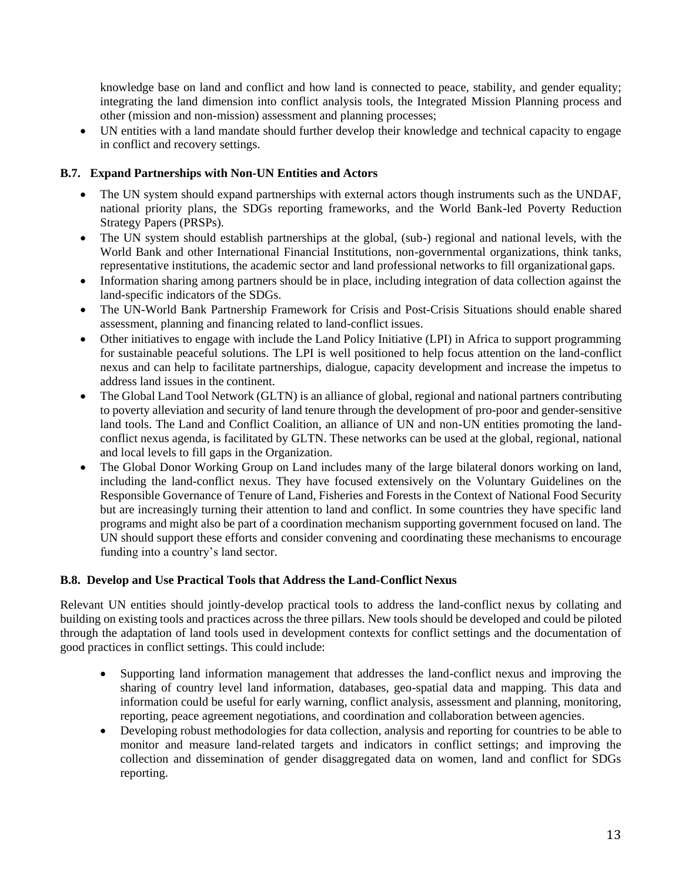knowledge base on land and conflict and how land is connected to peace, stability, and gender equality; integrating the land dimension into conflict analysis tools, the Integrated Mission Planning process and other (mission and non-mission) assessment and planning processes;

• UN entities with a land mandate should further develop their knowledge and technical capacity to engage in conflict and recovery settings.

### **B.7. Expand Partnerships with Non-UN Entities and Actors**

- The UN system should expand partnerships with external actors though instruments such as the UNDAF, national priority plans, the SDGs reporting frameworks, and the World Bank-led Poverty Reduction Strategy Papers (PRSPs).
- The UN system should establish partnerships at the global, (sub-) regional and national levels, with the World Bank and other International Financial Institutions, non-governmental organizations, think tanks, representative institutions, the academic sector and land professional networks to fill organizational gaps.
- Information sharing among partners should be in place, including integration of data collection against the land-specific indicators of the SDGs.
- The UN-World Bank Partnership Framework for Crisis and Post-Crisis Situations should enable shared assessment, planning and financing related to land-conflict issues.
- Other initiatives to engage with include the Land Policy Initiative (LPI) in Africa to support programming for sustainable peaceful solutions. The LPI is well positioned to help focus attention on the land-conflict nexus and can help to facilitate partnerships, dialogue, capacity development and increase the impetus to address land issues in the continent.
- The Global Land Tool Network (GLTN) is an alliance of global, regional and national partners contributing to poverty alleviation and security of land tenure through the development of pro-poor and gender-sensitive land tools. The Land and Conflict Coalition, an alliance of UN and non-UN entities promoting the landconflict nexus agenda, is facilitated by GLTN. These networks can be used at the global, regional, national and local levels to fill gaps in the Organization.
- The Global Donor Working Group on Land includes many of the large bilateral donors working on land, including the land-conflict nexus. They have focused extensively on the Voluntary Guidelines on the Responsible Governance of Tenure of Land, Fisheries and Forests in the Context of National Food Security but are increasingly turning their attention to land and conflict. In some countries they have specific land programs and might also be part of a coordination mechanism supporting government focused on land. The UN should support these efforts and consider convening and coordinating these mechanisms to encourage funding into a country's land sector.

### **B.8. Develop and Use Practical Tools that Address the Land-Conflict Nexus**

Relevant UN entities should jointly-develop practical tools to address the land-conflict nexus by collating and building on existing tools and practices across the three pillars. New tools should be developed and could be piloted through the adaptation of land tools used in development contexts for conflict settings and the documentation of good practices in conflict settings. This could include:

- Supporting land information management that addresses the land-conflict nexus and improving the sharing of country level land information, databases, geo-spatial data and mapping. This data and information could be useful for early warning, conflict analysis, assessment and planning, monitoring, reporting, peace agreement negotiations, and coordination and collaboration between agencies.
- Developing robust methodologies for data collection, analysis and reporting for countries to be able to monitor and measure land-related targets and indicators in conflict settings; and improving the collection and dissemination of gender disaggregated data on women, land and conflict for SDGs reporting.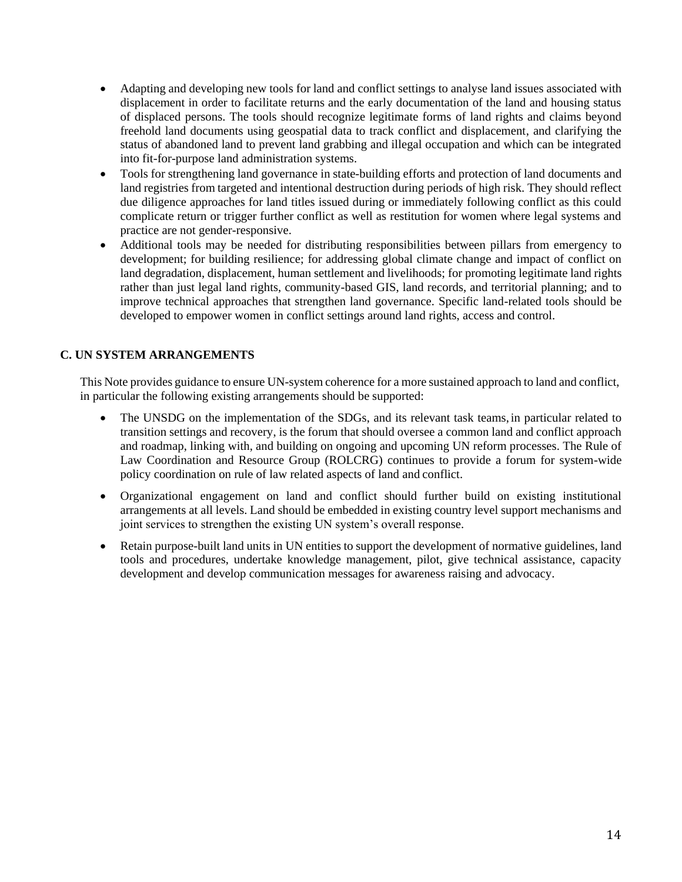- Adapting and developing new tools for land and conflict settings to analyse land issues associated with displacement in order to facilitate returns and the early documentation of the land and housing status of displaced persons. The tools should recognize legitimate forms of land rights and claims beyond freehold land documents using geospatial data to track conflict and displacement, and clarifying the status of abandoned land to prevent land grabbing and illegal occupation and which can be integrated into fit-for-purpose land administration systems.
- Tools for strengthening land governance in state-building efforts and protection of land documents and land registries from targeted and intentional destruction during periods of high risk. They should reflect due diligence approaches for land titles issued during or immediately following conflict as this could complicate return or trigger further conflict as well as restitution for women where legal systems and practice are not gender-responsive.
- Additional tools may be needed for distributing responsibilities between pillars from emergency to development; for building resilience; for addressing global climate change and impact of conflict on land degradation, displacement, human settlement and livelihoods; for promoting legitimate land rights rather than just legal land rights, community-based GIS, land records, and territorial planning; and to improve technical approaches that strengthen land governance. Specific land-related tools should be developed to empower women in conflict settings around land rights, access and control.

# **C. UN SYSTEM ARRANGEMENTS**

This Note provides guidance to ensure UN-system coherence for a more sustained approach to land and conflict, in particular the following existing arrangements should be supported:

- The UNSDG on the implementation of the SDGs, and its relevant task teams, in particular related to transition settings and recovery, is the forum that should oversee a common land and conflict approach and roadmap, linking with, and building on ongoing and upcoming UN reform processes. The Rule of Law Coordination and Resource Group (ROLCRG) continues to provide a forum for system-wide policy coordination on rule of law related aspects of land and conflict.
- Organizational engagement on land and conflict should further build on existing institutional arrangements at all levels. Land should be embedded in existing country level support mechanisms and joint services to strengthen the existing UN system's overall response.
- Retain purpose-built land units in UN entities to support the development of normative guidelines, land tools and procedures, undertake knowledge management, pilot, give technical assistance, capacity development and develop communication messages for awareness raising and advocacy.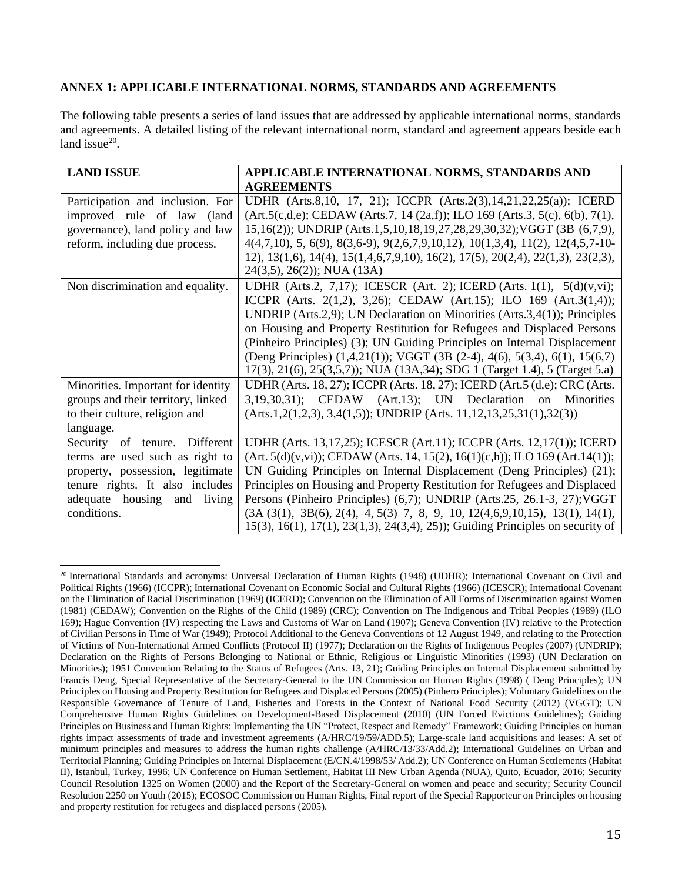#### **ANNEX 1: APPLICABLE INTERNATIONAL NORMS, STANDARDS AND AGREEMENTS**

The following table presents a series of land issues that are addressed by applicable international norms, standards and agreements. A detailed listing of the relevant international norm, standard and agreement appears beside each land issue $20$ .

| <b>LAND ISSUE</b>                                                                                                                                                                     | APPLICABLE INTERNATIONAL NORMS, STANDARDS AND<br><b>AGREEMENTS</b>                                                                                                                                                                                                                                                                                                                                                                                                                                                                                             |
|---------------------------------------------------------------------------------------------------------------------------------------------------------------------------------------|----------------------------------------------------------------------------------------------------------------------------------------------------------------------------------------------------------------------------------------------------------------------------------------------------------------------------------------------------------------------------------------------------------------------------------------------------------------------------------------------------------------------------------------------------------------|
| Participation and inclusion. For<br>improved rule of law (land<br>governance), land policy and law<br>reform, including due process.                                                  | UDHR (Arts.8,10, 17, 21); ICCPR (Arts.2(3),14,21,22,25(a)); ICERD<br>$(Art.5(c,d,e); CEDAW (Arts.7, 14 (2a,f)); ILO 169 (Arts.3, 5(c), 6(b), 7(1)),$<br>15,16(2)); UNDRIP (Arts.1,5,10,18,19,27,28,29,30,32); VGGT (3B (6,7,9),<br>$4(4,7,10)$ , 5, 6(9), 8(3,6-9), 9(2,6,7,9,10,12), 10(1,3,4), 11(2), 12(4,5,7-10-<br>12), 13(1,6), 14(4), 15(1,4,6,7,9,10), 16(2), 17(5), 20(2,4), 22(1,3), 23(2,3),<br>$24(3,5), 26(2))$ ; NUA (13A)                                                                                                                       |
| Non discrimination and equality.                                                                                                                                                      | UDHR (Arts.2, 7,17); ICESCR (Art. 2); ICERD (Arts. 1(1), 5(d)(v,vi);<br>ICCPR (Arts. 2(1,2), 3,26); CEDAW (Art.15); ILO 169 (Art.3(1,4));<br>UNDRIP (Arts.2,9); UN Declaration on Minorities (Arts.3,4(1)); Principles<br>on Housing and Property Restitution for Refugees and Displaced Persons<br>(Pinheiro Principles) (3); UN Guiding Principles on Internal Displacement<br>(Deng Principles) (1,4,21(1)); VGGT (3B (2-4), 4(6), 5(3,4), 6(1), 15(6,7)<br>17(3), 21(6), 25(3,5,7)); NUA (13A,34); SDG 1 (Target 1.4), 5 (Target 5.a)                      |
| Minorities. Important for identity<br>groups and their territory, linked<br>to their culture, religion and<br>language.                                                               | UDHR (Arts. 18, 27); ICCPR (Arts. 18, 27); ICERD (Art.5 (d,e); CRC (Arts.<br>3,19,30,31); CEDAW (Art.13); UN Declaration on Minorities<br>$(Arts.1, 2(1, 2, 3), 3, 4(1, 5))$ ; UNDRIP (Arts. 11, 12, 13, 25, 31(1), 32(3))                                                                                                                                                                                                                                                                                                                                     |
| Security of tenure. Different<br>terms are used such as right to<br>property, possession, legitimate<br>tenure rights. It also includes<br>adequate housing and living<br>conditions. | UDHR (Arts. 13,17,25); ICESCR (Art.11); ICCPR (Arts. 12,17(1)); ICERD<br>$(Art. 5(d)(v,vi))$ ; CEDAW (Arts. 14, 15(2), 16(1)(c,h)); ILO 169 (Art. 14(1));<br>UN Guiding Principles on Internal Displacement (Deng Principles) (21);<br>Principles on Housing and Property Restitution for Refugees and Displaced<br>Persons (Pinheiro Principles) (6,7); UNDRIP (Arts.25, 26.1-3, 27); VGGT<br>$(3A (3(1), 3B(6), 2(4), 4, 5(3), 7, 8, 9, 10, 12(4, 6, 9, 10, 13(1), 14(1),$<br>15(3), 16(1), 17(1), 23(1,3), 24(3,4), 25)); Guiding Principles on security of |

<sup>&</sup>lt;sup>20</sup> International Standards and acronyms: Universal Declaration of Human Rights (1948) (UDHR); International Covenant on Civil and Political Rights (1966) (ICCPR); International Covenant on Economic Social and Cultural Rights (1966) (ICESCR); International Covenant on the Elimination of Racial Discrimination (1969) (ICERD); Convention on the Elimination of All Forms of Discrimination against Women (1981) (CEDAW); Convention on the Rights of the Child (1989) (CRC); Convention on The Indigenous and Tribal Peoples (1989) (ILO 169); Hague Convention (IV) respecting the Laws and Customs of War on Land (1907); Geneva Convention (IV) relative to the Protection of Civilian Persons in Time of War (1949); Protocol Additional to the Geneva Conventions of 12 August 1949, and relating to the Protection of Victims of Non-International Armed Conflicts (Protocol II) (1977); Declaration on the Rights of Indigenous Peoples (2007) (UNDRIP); Declaration on the Rights of Persons Belonging to National or Ethnic, Religious or Linguistic Minorities (1993) (UN Declaration on Minorities); 1951 Convention Relating to the Status of Refugees (Arts. 13, 21); Guiding Principles on Internal Displacement submitted by Francis Deng, Special Representative of the Secretary-General to the UN Commission on Human Rights (1998) ( Deng Principles); UN Principles on Housing and Property Restitution for Refugees and Displaced Persons (2005) (Pinhero Principles); Voluntary Guidelines on the Responsible Governance of Tenure of Land, Fisheries and Forests in the Context of National Food Security (2012) (VGGT); UN Comprehensive Human Rights Guidelines on Development-Based Displacement (2010) (UN Forced Evictions Guidelines); Guiding Principles on Business and Human Rights: Implementing the UN "Protect, Respect and Remedy" Framework; Guiding Principles on human rights impact assessments of trade and investment agreements (A/HRC/19/59/ADD.5); Large-scale land acquisitions and leases: A set of minimum principles and measures to address the human rights challenge (A/HRC/13/33/Add.2); International Guidelines on Urban and Territorial Planning; Guiding Principles on Internal Displacement (E/CN.4/1998/53/ Add.2); UN Conference on Human Settlements (Habitat II), Istanbul, Turkey, 1996; UN Conference on Human Settlement, Habitat III New Urban Agenda (NUA), Quito, Ecuador, 2016; Security Council Resolution 1325 on Women (2000) and the Report of the Secretary-General on women and peace and security; Security Council Resolution 2250 on Youth (2015); ECOSOC Commission on Human Rights, Final report of the Special Rapporteur on Principles on housing and property restitution for refugees and displaced persons (2005).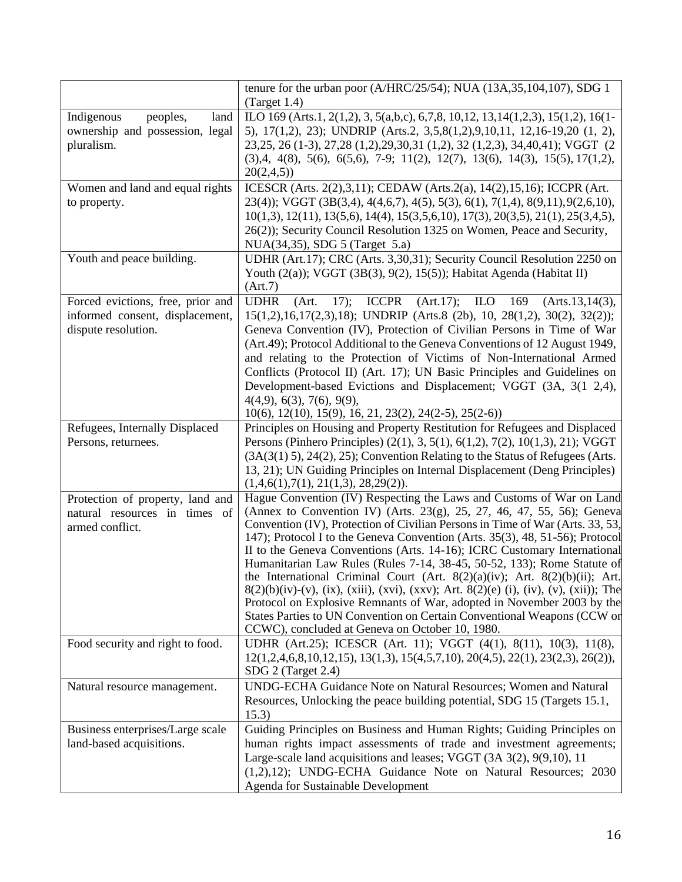|                                                                                             | tenure for the urban poor (A/HRC/25/54); NUA (13A,35,104,107), SDG 1<br>(Target 1.4)                                                                                                                                                                                                                                                                                                                                                                                                                                                                                                                                                                                                                                                                                                                                                                        |
|---------------------------------------------------------------------------------------------|-------------------------------------------------------------------------------------------------------------------------------------------------------------------------------------------------------------------------------------------------------------------------------------------------------------------------------------------------------------------------------------------------------------------------------------------------------------------------------------------------------------------------------------------------------------------------------------------------------------------------------------------------------------------------------------------------------------------------------------------------------------------------------------------------------------------------------------------------------------|
| peoples,<br>land<br>Indigenous<br>ownership and possession, legal<br>pluralism.             | ILO 169 (Arts.1, 2(1,2), 3, 5(a,b,c), 6,7,8, 10,12, 13,14(1,2,3), 15(1,2), 16(1-<br>5), 17(1,2), 23); UNDRIP (Arts.2, 3,5,8(1,2),9,10,11, 12,16-19,20 (1, 2),<br>23, 25, 26 (1-3), 27, 28 (1, 2), 29, 30, 31 (1, 2), 32 (1, 2, 3), 34, 40, 41); VGGT (2<br>$(3),4, 4(8), 5(6), 6(5,6), 7-9; 11(2), 12(7), 13(6), 14(3), 15(5), 17(1,2),$<br>20(2,4,5)                                                                                                                                                                                                                                                                                                                                                                                                                                                                                                       |
| Women and land and equal rights<br>to property.                                             | ICESCR (Arts. 2(2),3,11); CEDAW (Arts.2(a), 14(2),15,16); ICCPR (Art.<br>$23(4)$ ; VGGT (3B(3,4), 4(4,6,7), 4(5), 5(3), 6(1), 7(1,4), 8(9,11), 9(2,6,10),<br>$10(1,3)$ , $12(11)$ , $13(5,6)$ , $14(4)$ , $15(3,5,6,10)$ , $17(3)$ , $20(3,5)$ , $21(1)$ , $25(3,4,5)$ ,<br>26(2)); Security Council Resolution 1325 on Women, Peace and Security,<br>NUA(34,35), SDG 5 (Target 5.a)                                                                                                                                                                                                                                                                                                                                                                                                                                                                        |
| Youth and peace building.                                                                   | UDHR (Art.17); CRC (Arts. 3,30,31); Security Council Resolution 2250 on<br>Youth $(2(a))$ ; VGGT $(3B(3), 9(2), 15(5))$ ; Habitat Agenda (Habitat II)<br>(Art.7)                                                                                                                                                                                                                                                                                                                                                                                                                                                                                                                                                                                                                                                                                            |
| Forced evictions, free, prior and<br>informed consent, displacement,<br>dispute resolution. | <b>UDHR</b><br>ICCPR $(Art.17)$ ; ILO 169<br>17);<br>(Art.<br>(Arts.13, 14(3),<br>$15(1,2), 16, 17(2,3), 18$ ; UNDRIP (Arts.8 (2b), 10, 28(1,2), 30(2), 32(2));<br>Geneva Convention (IV), Protection of Civilian Persons in Time of War<br>(Art.49); Protocol Additional to the Geneva Conventions of 12 August 1949,<br>and relating to the Protection of Victims of Non-International Armed<br>Conflicts (Protocol II) (Art. 17); UN Basic Principles and Guidelines on<br>Development-based Evictions and Displacement; VGGT (3A, 3(1 2,4),<br>4(4,9), 6(3), 7(6), 9(9),<br>$10(6)$ , $12(10)$ , $15(9)$ , $16$ , $21$ , $23(2)$ , $24(2-5)$ , $25(2-6)$ )                                                                                                                                                                                              |
| Refugees, Internally Displaced<br>Persons, returnees.                                       | Principles on Housing and Property Restitution for Refugees and Displaced<br>Persons (Pinhero Principles) (2(1), 3, 5(1), 6(1,2), 7(2), 10(1,3), 21); VGGT<br>$(3A(3(1) 5), 24(2), 25)$ ; Convention Relating to the Status of Refugees (Arts.<br>13, 21); UN Guiding Principles on Internal Displacement (Deng Principles)<br>(1,4,6(1),7(1), 21(1,3), 28,29(2)).                                                                                                                                                                                                                                                                                                                                                                                                                                                                                          |
| Protection of property, land and<br>natural resources in times of<br>armed conflict.        | Hague Convention (IV) Respecting the Laws and Customs of War on Land<br>(Annex to Convention IV) (Arts. 23(g), 25, 27, 46, 47, 55, 56); Geneval<br>Convention (IV), Protection of Civilian Persons in Time of War (Arts. 33, 53,<br>147); Protocol I to the Geneva Convention (Arts. 35(3), 48, 51-56); Protocol<br>II to the Geneva Conventions (Arts. 14-16); ICRC Customary International<br>Humanitarian Law Rules (Rules 7-14, 38-45, 50-52, 133); Rome Statute of<br>the International Criminal Court (Art. 8(2)(a)(iv); Art. 8(2)(b)(ii); Art.<br>$8(2)(b)(iv)-(v)$ , (ix), (xiii), (xvi), (xxv); Art. $8(2)(e)$ (i), (iv), (v), (xii)); The<br>Protocol on Explosive Remnants of War, adopted in November 2003 by the<br>States Parties to UN Convention on Certain Conventional Weapons (CCW or<br>CCWC), concluded at Geneva on October 10, 1980. |
| Food security and right to food.                                                            | UDHR (Art.25); ICESCR (Art. 11); VGGT (4(1), 8(11), 10(3), 11(8),<br>$12(1,2,4,6,8,10,12,15), 13(1,3), 15(4,5,7,10), 20(4,5), 22(1), 23(2,3), 26(2)),$<br>SDG 2 (Target 2.4)                                                                                                                                                                                                                                                                                                                                                                                                                                                                                                                                                                                                                                                                                |
| Natural resource management.                                                                | UNDG-ECHA Guidance Note on Natural Resources; Women and Natural<br>Resources, Unlocking the peace building potential, SDG 15 (Targets 15.1,<br>15.3)                                                                                                                                                                                                                                                                                                                                                                                                                                                                                                                                                                                                                                                                                                        |
| Business enterprises/Large scale<br>land-based acquisitions.                                | Guiding Principles on Business and Human Rights; Guiding Principles on<br>human rights impact assessments of trade and investment agreements;<br>Large-scale land acquisitions and leases; VGGT (3A 3(2), 9(9,10), 11<br>(1,2),12); UNDG-ECHA Guidance Note on Natural Resources; 2030<br><b>Agenda for Sustainable Development</b>                                                                                                                                                                                                                                                                                                                                                                                                                                                                                                                         |